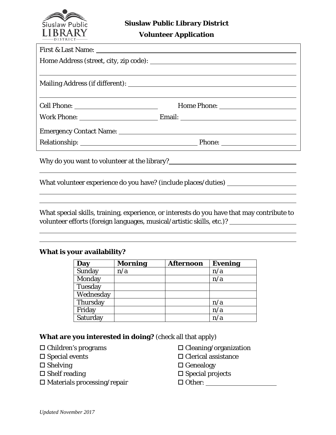

**Volunteer Application**

| First & Last Name: 1988 and 1988 and 1988 and 1988 and 1988 and 1988 and 1988 and 1988 and 1988 and 1988 and 1988 and 1988 and 1988 and 1988 and 1988 and 1988 and 1988 and 1988 and 1988 and 1988 and 1988 and 1988 and 1988          |  |
|----------------------------------------------------------------------------------------------------------------------------------------------------------------------------------------------------------------------------------------|--|
|                                                                                                                                                                                                                                        |  |
| ,我们也不会有什么。""我们的人,我们也不会有什么?""我们的人,我们也不会有什么?""我们的人,我们也不会有什么?""我们的人,我们也不会有什么?""我们的人                                                                                                                                                       |  |
|                                                                                                                                                                                                                                        |  |
|                                                                                                                                                                                                                                        |  |
|                                                                                                                                                                                                                                        |  |
|                                                                                                                                                                                                                                        |  |
| Why do you want to volunteer at the library?<br><u>Langon and the summan and the summan and the summan and the summan and the summan and the summan and the summan and the summan and the summan and the summan and the summan and</u> |  |
| What volunteer experience do you have? (include places/duties) _________________                                                                                                                                                       |  |

What special skills, training, experience, or interests do you have that may contribute to volunteer efforts (foreign languages, musical/artistic skills, etc.)?

## **What is your availability?**

| Day       | <b>Morning</b> | <b>Afternoon</b> | <b>Evening</b> |
|-----------|----------------|------------------|----------------|
| Sunday    | n/a            |                  | n/a            |
| Monday    |                |                  | n/a            |
| Tuesday   |                |                  |                |
| Wednesday |                |                  |                |
| Thursday  |                |                  | n/a            |
| Friday    |                |                  | n/a            |
| Saturday  |                |                  | n/a            |

## **What are you interested in doing?** (check all that apply)

- $\Box$  Children's programs
- $\square$  Special events
- $\square$  Shelving
- $\square$  Shelf reading
- $\square$  Materials processing/repair
- $\square$  Cleaning/organization
- $\square$  Clerical assistance
- $\Box$  Genealogy
- $\square$  Special projects
- $\Box$  Other:  $\Box$